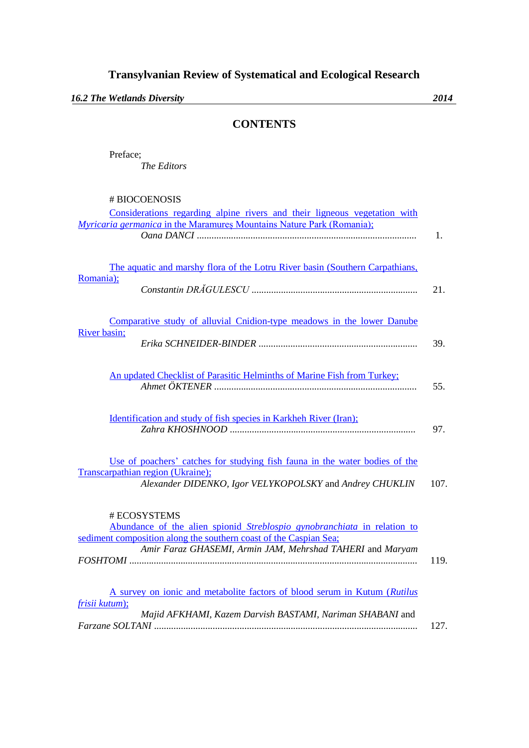*16.2 The Wetlands Diversity 2014*

## **CONTENTS**

Preface; *The Editors*

# BIOCOENOSIS

| Considerations regarding alpine rivers and their ligneous vegetation with                |      |
|------------------------------------------------------------------------------------------|------|
| <b>Myricaria germanica in the Maramures Mountains Nature Park (Romania);</b>             |      |
|                                                                                          | 1.   |
|                                                                                          |      |
| The aquatic and marshy flora of the Lotru River basin (Southern Carpathians,             |      |
| Romania);                                                                                |      |
|                                                                                          | 21.  |
|                                                                                          |      |
|                                                                                          |      |
| Comparative study of alluvial Cnidion-type meadows in the lower Danube                   |      |
| River basin;                                                                             |      |
|                                                                                          | 39.  |
|                                                                                          |      |
| An updated Checklist of Parasitic Helminths of Marine Fish from Turkey;                  |      |
|                                                                                          | 55.  |
|                                                                                          |      |
|                                                                                          |      |
| <u>Identification and study of fish species in Karkheh River (Iran);</u>                 |      |
|                                                                                          | 97.  |
|                                                                                          |      |
| Use of poachers' catches for studying fish fauna in the water bodies of the              |      |
| Transcarpathian region (Ukraine);                                                        |      |
| Alexander DIDENKO, Igor VELYKOPOLSKY and Andrey CHUKLIN                                  | 107. |
|                                                                                          |      |
|                                                                                          |      |
| # ECOSYSTEMS<br>Abundance of the alien spionid Streblospio gynobranchiata in relation to |      |
| sediment composition along the southern coast of the Caspian Sea;                        |      |
| Amir Faraz, GHASEMI, Armin JAM, Mehrshad TAHERI and Maryam                               |      |
|                                                                                          | 119. |
|                                                                                          |      |
|                                                                                          |      |
| A survey on ionic and metabolite factors of blood serum in Kutum (Rutilus                |      |
| frisii kutum);                                                                           |      |
| Majid AFKHAMI, Kazem Darvish BASTAMI, Nariman SHABANI and                                |      |
|                                                                                          | 127. |